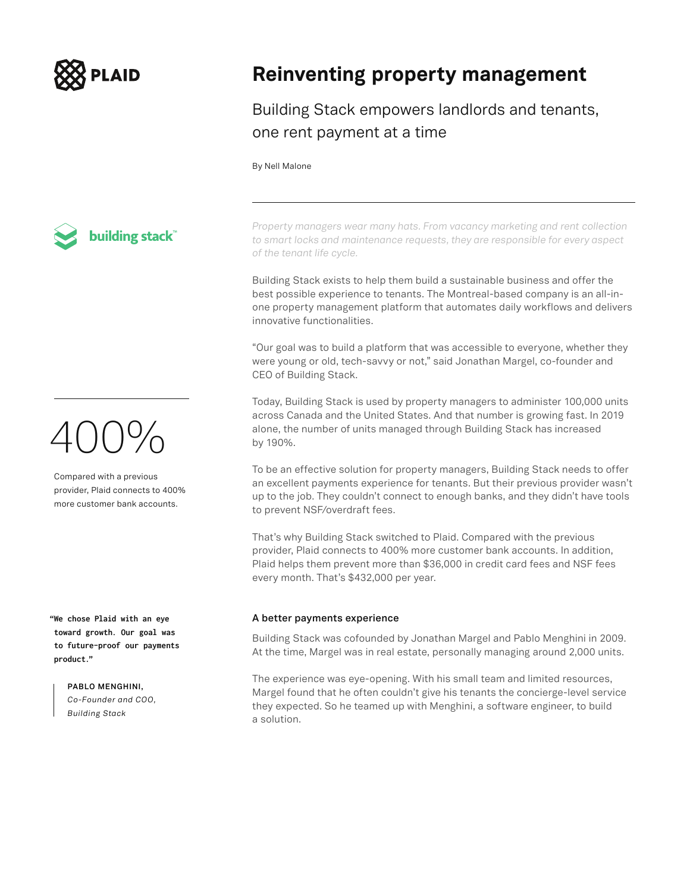

### **Reinventing property management**

Building Stack empowers landlords and tenants, one rent payment at a time

#### By Nell Malone

building stack

## 400%

Compared with a previous provider, Plaid connects to 400% more customer bank accounts.

**"We chose Plaid with an eye toward growth. Our goal was to future-proof our payments product."**

> **PABLO MENGHINI,**  *Co-Founder and COO, Building Stack*

*Property managers wear many hats. From vacancy marketing and rent collection to smart locks and maintenance requests, they are responsible for every aspect of the tenant life cycle.*

Building Stack exists to help them build a sustainable business and offer the best possible experience to tenants. The Montreal-based company is an all-inone property management platform that automates daily workflows and delivers innovative functionalities.

"Our goal was to build a platform that was accessible to everyone, whether they were young or old, tech-savvy or not," said Jonathan Margel, co-founder and CEO of Building Stack.

Today, Building Stack is used by property managers to administer 100,000 units across Canada and the United States. And that number is growing fast. In 2019 alone, the number of units managed through Building Stack has increased by 190%.

To be an effective solution for property managers, Building Stack needs to offer an excellent payments experience for tenants. But their previous provider wasn't up to the job. They couldn't connect to enough banks, and they didn't have tools to prevent NSF/overdraft fees.

That's why Building Stack switched to Plaid. Compared with the previous provider, Plaid connects to 400% more customer bank accounts. In addition, Plaid helps them prevent more than \$36,000 in credit card fees and NSF fees every month. That's \$432,000 per year.

### **A better payments experience**

Building Stack was cofounded by Jonathan Margel and Pablo Menghini in 2009. At the time, Margel was in real estate, personally managing around 2,000 units.

The experience was eye-opening. With his small team and limited resources, Margel found that he often couldn't give his tenants the concierge-level service they expected. So he teamed up with Menghini, a software engineer, to build a solution.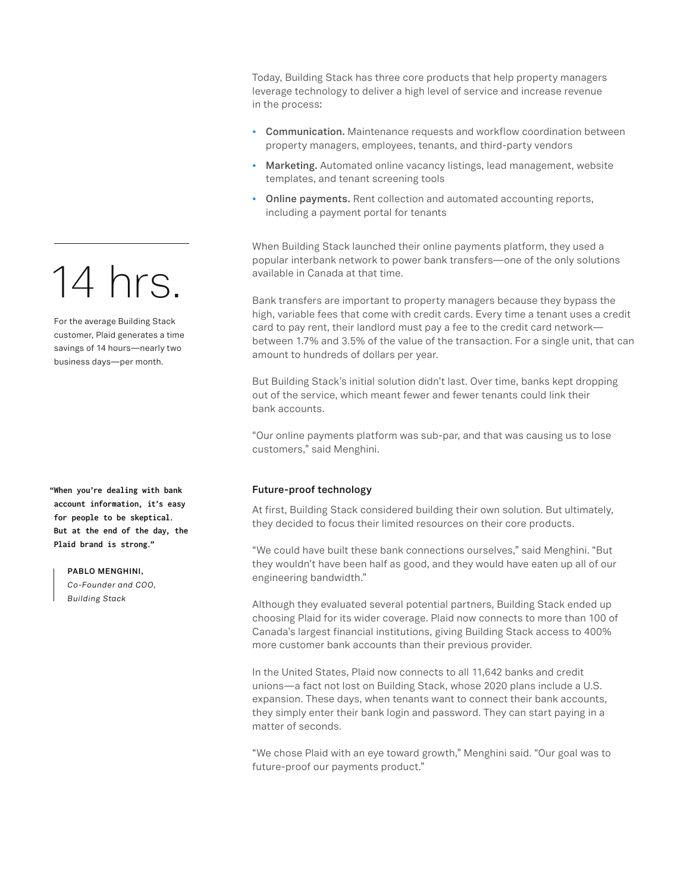# 14 hrs.

For the average Building Stack customer, Plaid generates a time savings of 14 hours—nearly two business days—per month.

**"When you're dealing with bank account information, it's easy for people to be skeptical. But at the end of the day, the Plaid brand is strong."**

**PABLO MENGHINI,** 

*Co-Founder and COO, Building Stack*

Today, Building Stack has three core products that help property managers leverage technology to deliver a high level of service and increase revenue in the process:

- **Communication.** Maintenance requests and workflow coordination between property managers, employees, tenants, and third-party vendors
- **Marketing.** Automated online vacancy listings, lead management, website templates, and tenant screening tools
- **Online payments.** Rent collection and automated accounting reports, including a payment portal for tenants

When Building Stack launched their online payments platform, they used a popular interbank network to power bank transfers—one of the only solutions available in Canada at that time.

Bank transfers are important to property managers because they bypass the high, variable fees that come with credit cards. Every time a tenant uses a credit card to pay rent, their landlord must pay a fee to the credit card network between 1.7% and 3.5% of the value of the transaction. For a single unit, that can amount to hundreds of dollars per year.

But Building Stack's initial solution didn't last. Over time, banks kept dropping out of the service, which meant fewer and fewer tenants could link their bank accounts.

"Our online payments platform was sub-par, and that was causing us to lose customers," said Menghini.

### **Future-proof technology**

At first, Building Stack considered building their own solution. But ultimately, they decided to focus their limited resources on their core products.

"We could have built these bank connections ourselves," said Menghini. "But they wouldn't have been half as good, and they would have eaten up all of our engineering bandwidth."

Although they evaluated several potential partners, Building Stack ended up choosing Plaid for its wider coverage. Plaid now connects to more than 100 of Canada's largest financial institutions, giving Building Stack access to 400% more customer bank accounts than their previous provider.

In the United States, Plaid now connects to all 11,642 banks and credit unions—a fact not lost on Building Stack, whose 2020 plans include a U.S. expansion. These days, when tenants want to connect their bank accounts, they simply enter their bank login and password. They can start paying in a matter of seconds.

"We chose Plaid with an eye toward growth," Menghini said. "Our goal was to future-proof our payments product."